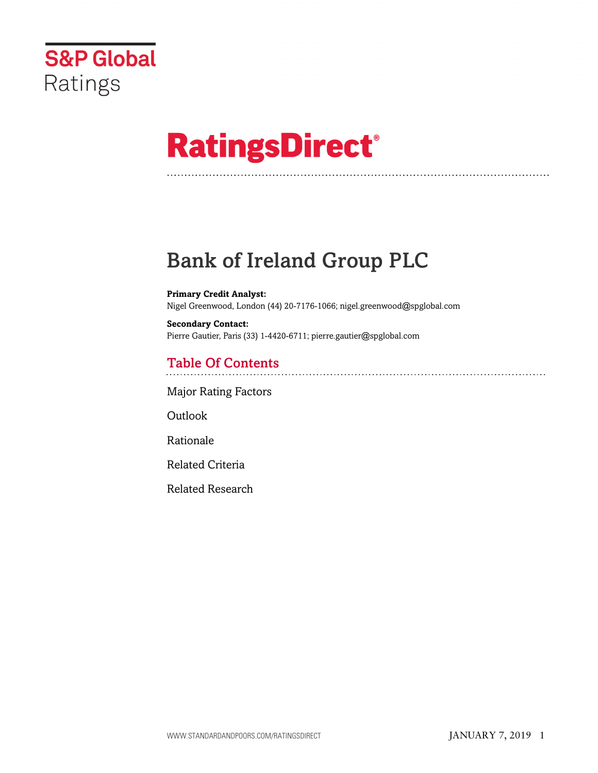

# **RatingsDirect®**

# Bank of Ireland Group PLC

**Primary Credit Analyst:** Nigel Greenwood, London (44) 20-7176-1066; nigel.greenwood@spglobal.com

**Secondary Contact:** Pierre Gautier, Paris (33) 1-4420-6711; pierre.gautier@spglobal.com

# Table Of Contents

[Major Rating Factors](#page-1-0)

Outlook

[Rationale](#page-2-0)

[Related Criteria](#page-12-0)

[Related Research](#page-12-1)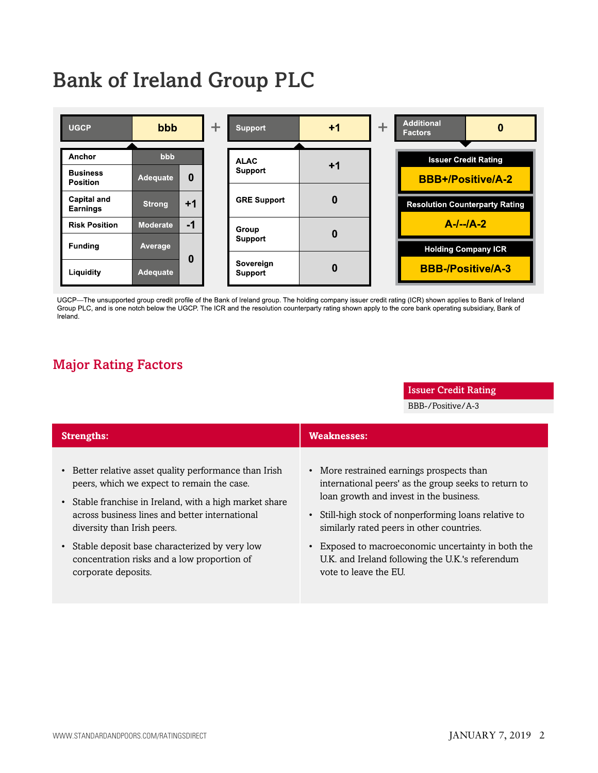# Bank of Ireland Group PLC



UGCP-The unsupported group credit profile of the Bank of Ireland group. The holding company issuer credit rating (ICR) shown applies to Bank of Ireland Group PLC, and is one notch below the UGCP. The ICR and the resolution counterparty rating shown apply to the core bank operating subsidiary, Bank of Ireland.

## <span id="page-1-0"></span>Major Rating Factors

#### Issuer Credit Rating

BBB-/Positive/A-3

| <b>Strengths:</b>                                                                                                                                                                                                                                           | <b>Weaknesses:</b>                                                                                                                                                                                                                                 |
|-------------------------------------------------------------------------------------------------------------------------------------------------------------------------------------------------------------------------------------------------------------|----------------------------------------------------------------------------------------------------------------------------------------------------------------------------------------------------------------------------------------------------|
| • Better relative asset quality performance than Irish<br>peers, which we expect to remain the case.<br>Stable franchise in Ireland, with a high market share<br>$\bullet$<br>across business lines and better international<br>diversity than Irish peers. | • More restrained earnings prospects than<br>international peers' as the group seeks to return to<br>loan growth and invest in the business.<br>• Still-high stock of nonperforming loans relative to<br>similarly rated peers in other countries. |
| Stable deposit base characterized by very low<br>$\bullet$<br>concentration risks and a low proportion of<br>corporate deposits.                                                                                                                            | • Exposed to macroeconomic uncertainty in both the<br>U.K. and Ireland following the U.K.'s referendum<br>vote to leave the EU.                                                                                                                    |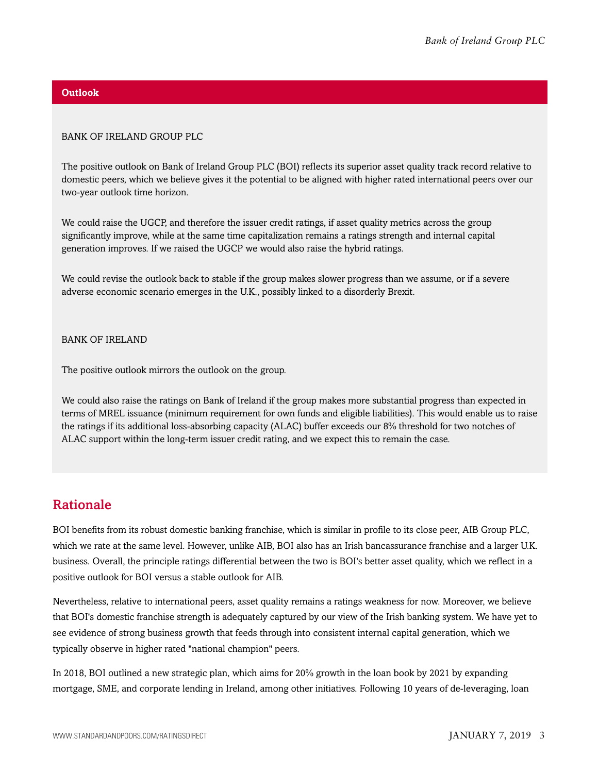#### **Outlook**

#### BANK OF IRELAND GROUP PLC

The positive outlook on Bank of Ireland Group PLC (BOI) reflects its superior asset quality track record relative to domestic peers, which we believe gives it the potential to be aligned with higher rated international peers over our two-year outlook time horizon.

We could raise the UGCP, and therefore the issuer credit ratings, if asset quality metrics across the group significantly improve, while at the same time capitalization remains a ratings strength and internal capital generation improves. If we raised the UGCP we would also raise the hybrid ratings.

We could revise the outlook back to stable if the group makes slower progress than we assume, or if a severe adverse economic scenario emerges in the U.K., possibly linked to a disorderly Brexit.

BANK OF IRELAND

The positive outlook mirrors the outlook on the group.

We could also raise the ratings on Bank of Ireland if the group makes more substantial progress than expected in terms of MREL issuance (minimum requirement for own funds and eligible liabilities). This would enable us to raise the ratings if its additional loss-absorbing capacity (ALAC) buffer exceeds our 8% threshold for two notches of ALAC support within the long-term issuer credit rating, and we expect this to remain the case.

### <span id="page-2-0"></span>Rationale

BOI benefits from its robust domestic banking franchise, which is similar in profile to its close peer, AIB Group PLC, which we rate at the same level. However, unlike AIB, BOI also has an Irish bancassurance franchise and a larger U.K. business. Overall, the principle ratings differential between the two is BOI's better asset quality, which we reflect in a positive outlook for BOI versus a stable outlook for AIB.

Nevertheless, relative to international peers, asset quality remains a ratings weakness for now. Moreover, we believe that BOI's domestic franchise strength is adequately captured by our view of the Irish banking system. We have yet to see evidence of strong business growth that feeds through into consistent internal capital generation, which we typically observe in higher rated "national champion" peers.

In 2018, BOI outlined a new strategic plan, which aims for 20% growth in the loan book by 2021 by expanding mortgage, SME, and corporate lending in Ireland, among other initiatives. Following 10 years of de-leveraging, loan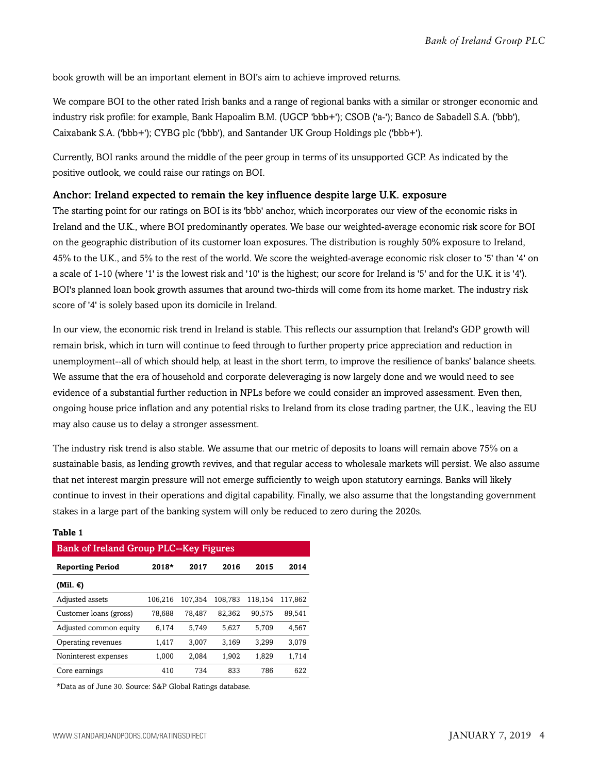book growth will be an important element in BOI's aim to achieve improved returns.

We compare BOI to the other rated Irish banks and a range of regional banks with a similar or stronger economic and industry risk profile: for example, Bank Hapoalim B.M. (UGCP 'bbb+'); CSOB ('a-'); Banco de Sabadell S.A. ('bbb'), Caixabank S.A. ('bbb+'); CYBG plc ('bbb'), and Santander UK Group Holdings plc ('bbb+').

Currently, BOI ranks around the middle of the peer group in terms of its unsupported GCP. As indicated by the positive outlook, we could raise our ratings on BOI.

#### Anchor: Ireland expected to remain the key influence despite large U.K. exposure

The starting point for our ratings on BOI is its 'bbb' anchor, which incorporates our view of the economic risks in Ireland and the U.K., where BOI predominantly operates. We base our weighted-average economic risk score for BOI on the geographic distribution of its customer loan exposures. The distribution is roughly 50% exposure to Ireland, 45% to the U.K., and 5% to the rest of the world. We score the weighted-average economic risk closer to '5' than '4' on a scale of 1-10 (where '1' is the lowest risk and '10' is the highest; our score for Ireland is '5' and for the U.K. it is '4'). BOI's planned loan book growth assumes that around two-thirds will come from its home market. The industry risk score of '4' is solely based upon its domicile in Ireland.

In our view, the economic risk trend in Ireland is stable. This reflects our assumption that Ireland's GDP growth will remain brisk, which in turn will continue to feed through to further property price appreciation and reduction in unemployment--all of which should help, at least in the short term, to improve the resilience of banks' balance sheets. We assume that the era of household and corporate deleveraging is now largely done and we would need to see evidence of a substantial further reduction in NPLs before we could consider an improved assessment. Even then, ongoing house price inflation and any potential risks to Ireland from its close trading partner, the U.K., leaving the EU may also cause us to delay a stronger assessment.

The industry risk trend is also stable. We assume that our metric of deposits to loans will remain above 75% on a sustainable basis, as lending growth revives, and that regular access to wholesale markets will persist. We also assume that net interest margin pressure will not emerge sufficiently to weigh upon statutory earnings. Banks will likely continue to invest in their operations and digital capability. Finally, we also assume that the longstanding government stakes in a large part of the banking system will only be reduced to zero during the 2020s.

| <b>Bank of Ireland Group PLC--Key Figures</b> |         |         |         |         |         |  |  |  |
|-----------------------------------------------|---------|---------|---------|---------|---------|--|--|--|
| <b>Reporting Period</b>                       | $2018*$ | 2017    | 2016    | 2015    | 2014    |  |  |  |
| (Mil. €)                                      |         |         |         |         |         |  |  |  |
| Adjusted assets                               | 106,216 | 107.354 | 108.783 | 118.154 | 117.862 |  |  |  |
| Customer loans (gross)                        | 78.688  | 78.487  | 82.362  | 90.575  | 89.541  |  |  |  |
| Adjusted common equity                        | 6,174   | 5.749   | 5.627   | 5.709   | 4.567   |  |  |  |
| Operating revenues                            | 1,417   | 3.007   | 3.169   | 3.299   | 3.079   |  |  |  |
| Noninterest expenses                          | 1,000   | 2,084   | 1,902   | 1,829   | 1,714   |  |  |  |
| Core earnings                                 | 410     | 734     | 833     | 786     | 622     |  |  |  |

#### **Table 1**

\*Data as of June 30. Source: S&P Global Ratings database.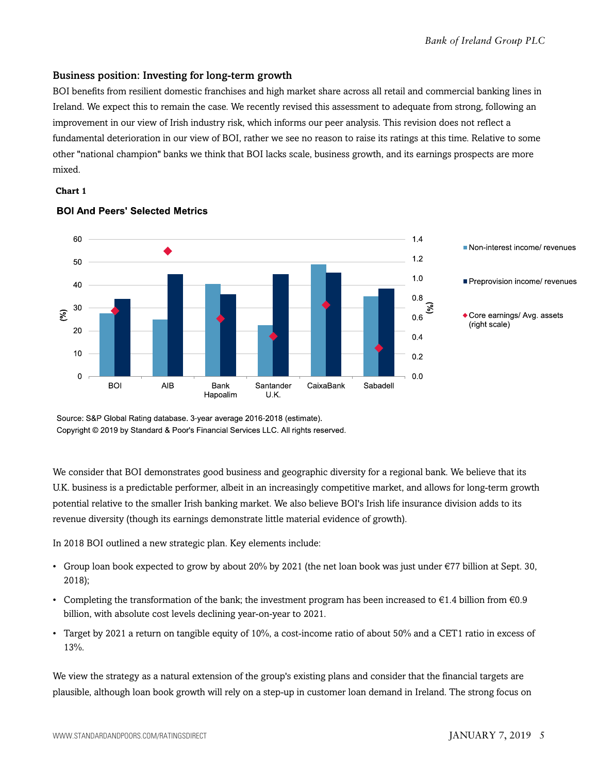#### Business position: Investing for long-term growth

BOI benefits from resilient domestic franchises and high market share across all retail and commercial banking lines in Ireland. We expect this to remain the case. We recently revised this assessment to adequate from strong, following an improvement in our view of Irish industry risk, which informs our peer analysis. This revision does not reflect a fundamental deterioration in our view of BOI, rather we see no reason to raise its ratings at this time. Relative to some other "national champion" banks we think that BOI lacks scale, business growth, and its earnings prospects are more mixed.

#### **Chart 1**



#### **BOI And Peers' Selected Metrics**

Source: S&P Global Rating database. 3-year average 2016-2018 (estimate). Copyright © 2019 by Standard & Poor's Financial Services LLC. All rights reserved.

We consider that BOI demonstrates good business and geographic diversity for a regional bank. We believe that its U.K. business is a predictable performer, albeit in an increasingly competitive market, and allows for long-term growth potential relative to the smaller Irish banking market. We also believe BOI's Irish life insurance division adds to its revenue diversity (though its earnings demonstrate little material evidence of growth).

In 2018 BOI outlined a new strategic plan. Key elements include:

- Group loan book expected to grow by about 20% by 2021 (the net loan book was just under €77 billion at Sept. 30, 2018);
- Completing the transformation of the bank; the investment program has been increased to  $\epsilon$ 1.4 billion from  $\epsilon$ 0.9 billion, with absolute cost levels declining year-on-year to 2021.
- Target by 2021 a return on tangible equity of 10%, a cost-income ratio of about 50% and a CET1 ratio in excess of 13%.

We view the strategy as a natural extension of the group's existing plans and consider that the financial targets are plausible, although loan book growth will rely on a step-up in customer loan demand in Ireland. The strong focus on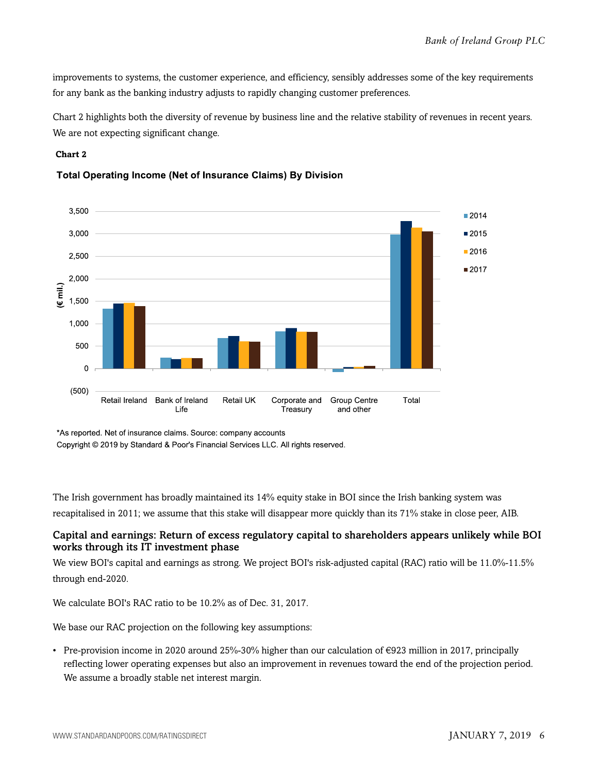improvements to systems, the customer experience, and efficiency, sensibly addresses some of the key requirements for any bank as the banking industry adjusts to rapidly changing customer preferences.

Chart 2 highlights both the diversity of revenue by business line and the relative stability of revenues in recent years. We are not expecting significant change.

#### **Chart 2**





<sup>\*</sup>As reported. Net of insurance claims. Source: company accounts

Copyright © 2019 by Standard & Poor's Financial Services LLC. All rights reserved.

The Irish government has broadly maintained its 14% equity stake in BOI since the Irish banking system was recapitalised in 2011; we assume that this stake will disappear more quickly than its 71% stake in close peer, AIB.

#### Capital and earnings: Return of excess regulatory capital to shareholders appears unlikely while BOI works through its IT investment phase

We view BOI's capital and earnings as strong. We project BOI's risk-adjusted capital (RAC) ratio will be 11.0%-11.5% through end-2020.

We calculate BOI's RAC ratio to be 10.2% as of Dec. 31, 2017.

We base our RAC projection on the following key assumptions:

• Pre-provision income in 2020 around 25%-30% higher than our calculation of €923 million in 2017, principally reflecting lower operating expenses but also an improvement in revenues toward the end of the projection period. We assume a broadly stable net interest margin.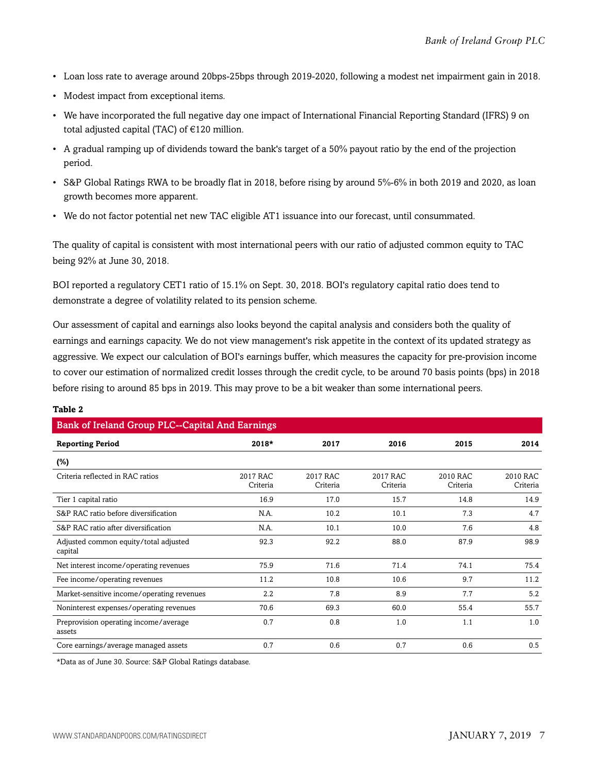- Loan loss rate to average around 20bps-25bps through 2019-2020, following a modest net impairment gain in 2018.
- Modest impact from exceptional items.
- We have incorporated the full negative day one impact of International Financial Reporting Standard (IFRS) 9 on total adjusted capital (TAC) of €120 million.
- A gradual ramping up of dividends toward the bank's target of a 50% payout ratio by the end of the projection period.
- S&P Global Ratings RWA to be broadly flat in 2018, before rising by around 5%-6% in both 2019 and 2020, as loan growth becomes more apparent.
- We do not factor potential net new TAC eligible AT1 issuance into our forecast, until consummated.

The quality of capital is consistent with most international peers with our ratio of adjusted common equity to TAC being 92% at June 30, 2018.

BOI reported a regulatory CET1 ratio of 15.1% on Sept. 30, 2018. BOI's regulatory capital ratio does tend to demonstrate a degree of volatility related to its pension scheme.

Our assessment of capital and earnings also looks beyond the capital analysis and considers both the quality of earnings and earnings capacity. We do not view management's risk appetite in the context of its updated strategy as aggressive. We expect our calculation of BOI's earnings buffer, which measures the capacity for pre-provision income to cover our estimation of normalized credit losses through the credit cycle, to be around 70 basis points (bps) in 2018 before rising to around 85 bps in 2019. This may prove to be a bit weaker than some international peers.

| <b>Bank of Ireland Group PLC--Capital And Earnings</b> |                      |                      |                      |                      |                      |  |  |  |
|--------------------------------------------------------|----------------------|----------------------|----------------------|----------------------|----------------------|--|--|--|
| <b>Reporting Period</b>                                | $2018*$              | 2017                 | 2016                 | 2015                 | 2014                 |  |  |  |
| $(\%)$                                                 |                      |                      |                      |                      |                      |  |  |  |
| Criteria reflected in RAC ratios                       | 2017 RAC<br>Criteria | 2017 RAC<br>Criteria | 2017 RAC<br>Criteria | 2010 RAC<br>Criteria | 2010 RAC<br>Criteria |  |  |  |
| Tier 1 capital ratio                                   | 16.9                 | 17.0                 | 15.7                 | 14.8                 | 14.9                 |  |  |  |
| S&P RAC ratio before diversification                   | N.A.                 | 10.2                 | 10.1                 | 7.3                  | 4.7                  |  |  |  |
| S&P RAC ratio after diversification                    | N.A.                 | 10.1                 | 10.0                 | 7.6                  | 4.8                  |  |  |  |
| Adjusted common equity/total adjusted<br>capital       | 92.3                 | 92.2                 | 88.0                 | 87.9                 | 98.9                 |  |  |  |
| Net interest income/operating revenues                 | 75.9                 | 71.6                 | 71.4                 | 74.1                 | 75.4                 |  |  |  |
| Fee income/operating revenues                          | 11.2                 | 10.8                 | 10.6                 | 9.7                  | 11.2                 |  |  |  |
| Market-sensitive income/operating revenues             | 2.2                  | 7.8                  | 8.9                  | 7.7                  | 5.2                  |  |  |  |
| Noninterest expenses/operating revenues                | 70.6                 | 69.3                 | 60.0                 | 55.4                 | 55.7                 |  |  |  |
| Preprovision operating income/average<br>assets        | 0.7                  | 0.8                  | 1.0                  | 1.1                  | 1.0                  |  |  |  |
| Core earnings/average managed assets                   | 0.7                  | 0.6                  | 0.7                  | 0.6                  | 0.5                  |  |  |  |

#### **Table 2**

\*Data as of June 30. Source: S&P Global Ratings database.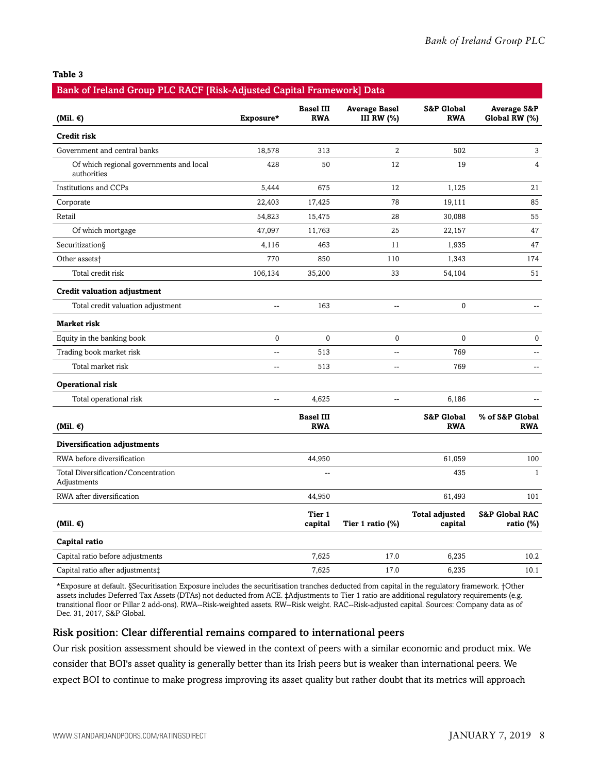#### **Table 3**

| Bank of Ireland Group PLC RACF [Risk-Adjusted Capital Framework] Data |              |                                |                                    |                                     |                                         |
|-----------------------------------------------------------------------|--------------|--------------------------------|------------------------------------|-------------------------------------|-----------------------------------------|
| (Mil. $\epsilon$ )                                                    | Exposure*    | <b>Basel III</b><br><b>RWA</b> | <b>Average Basel</b><br>III RW (%) | S&P Global<br><b>RWA</b>            | <b>Average S&amp;P</b><br>Global RW (%) |
| Credit risk                                                           |              |                                |                                    |                                     |                                         |
| Government and central banks                                          | 18,578       | 313                            | 2                                  | 502                                 | 3                                       |
| Of which regional governments and local<br>authorities                | 428          | 50                             | 12                                 | 19                                  | 4                                       |
| Institutions and CCPs                                                 | 5,444        | 675                            | 12                                 | 1,125                               | 21                                      |
| Corporate                                                             | 22,403       | 17,425                         | 78                                 | 19,111                              | 85                                      |
| Retail                                                                | 54,823       | 15,475                         | 28                                 | 30,088                              | 55                                      |
| Of which mortgage                                                     | 47,097       | 11,763                         | 25                                 | 22,157                              | 47                                      |
| Securitization§                                                       | 4,116        | 463                            | 11                                 | 1,935                               | 47                                      |
| Other assets <sup>+</sup>                                             | 770          | 850                            | 110                                | 1,343                               | 174                                     |
| Total credit risk                                                     | 106,134      | 35,200                         | 33                                 | 54,104                              | 51                                      |
| <b>Credit valuation adjustment</b>                                    |              |                                |                                    |                                     |                                         |
| Total credit valuation adjustment                                     | --           | 163                            | --                                 | $\mathbf 0$                         | $\overline{\phantom{a}}$                |
| <b>Market risk</b>                                                    |              |                                |                                    |                                     |                                         |
| Equity in the banking book                                            | $\mathbf{0}$ | $\mathbf 0$                    | $\pmb{0}$                          | $\mathbf{0}$                        | $\bf{0}$                                |
| Trading book market risk                                              | 44           | 513                            | --                                 | 769                                 | $\overline{a}$                          |
| Total market risk                                                     | $-$          | 513                            | $\overline{a}$                     | 769                                 | $-$                                     |
| Operational risk                                                      |              |                                |                                    |                                     |                                         |
| Total operational risk                                                | 44           | 4,625                          | --                                 | 6,186                               |                                         |
| (Mil. $\epsilon$ )                                                    |              | <b>Basel III</b><br><b>RWA</b> |                                    | <b>S&amp;P Global</b><br><b>RWA</b> | % of S&P Global<br><b>RWA</b>           |
| Diversification adjustments                                           |              |                                |                                    |                                     |                                         |
| RWA before diversification                                            |              | 44,950                         |                                    | 61,059                              | 100                                     |
| Total Diversification/Concentration<br>Adjustments                    |              |                                |                                    | 435                                 | $\mathbf{1}$                            |
| RWA after diversification                                             |              | 44,950                         |                                    | 61,493                              | 101                                     |
| (Mil. $\epsilon$ )                                                    |              | Tier 1<br>capital              | Tier 1 ratio (%)                   | <b>Total adjusted</b><br>capital    | <b>S&amp;P Global RAC</b><br>ratio (%)  |
| Capital ratio                                                         |              |                                |                                    |                                     |                                         |
| Capital ratio before adjustments                                      |              | 7,625                          | 17.0                               | 6,235                               | 10.2                                    |
| Capital ratio after adjustments‡                                      |              | 7,625                          | 17.0                               | 6,235                               | 10.1                                    |

\*Exposure at default. §Securitisation Exposure includes the securitisation tranches deducted from capital in the regulatory framework. †Other assets includes Deferred Tax Assets (DTAs) not deducted from ACE. ‡Adjustments to Tier 1 ratio are additional regulatory requirements (e.g. transitional floor or Pillar 2 add-ons). RWA--Risk-weighted assets. RW--Risk weight. RAC--Risk-adjusted capital. Sources: Company data as of Dec. 31, 2017, S&P Global.

#### Risk position: Clear differential remains compared to international peers

Our risk position assessment should be viewed in the context of peers with a similar economic and product mix. We consider that BOI's asset quality is generally better than its Irish peers but is weaker than international peers. We expect BOI to continue to make progress improving its asset quality but rather doubt that its metrics will approach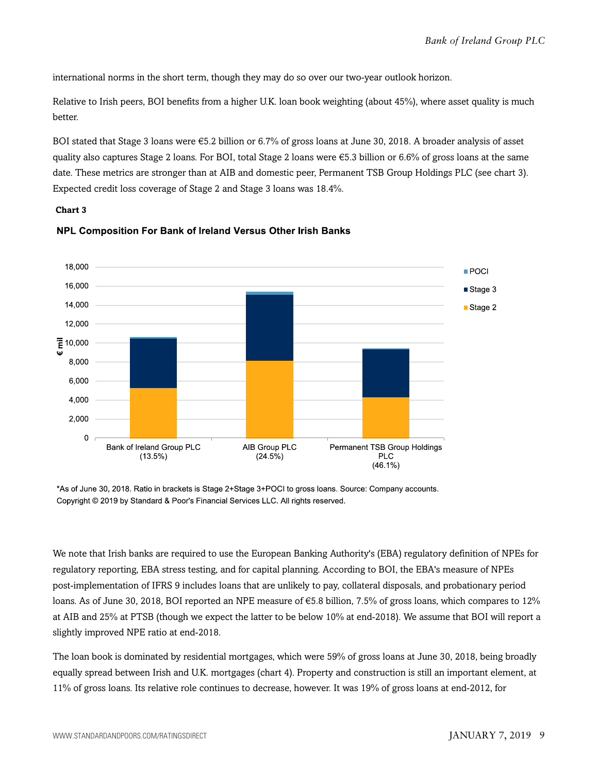international norms in the short term, though they may do so over our two-year outlook horizon.

Relative to Irish peers, BOI benefits from a higher U.K. loan book weighting (about 45%), where asset quality is much better.

BOI stated that Stage 3 loans were €5.2 billion or 6.7% of gross loans at June 30, 2018. A broader analysis of asset quality also captures Stage 2 loans. For BOI, total Stage 2 loans were  $\epsilon$ 5.3 billion or 6.6% of gross loans at the same date. These metrics are stronger than at AIB and domestic peer, Permanent TSB Group Holdings PLC (see chart 3). Expected credit loss coverage of Stage 2 and Stage 3 loans was 18.4%.

#### **Chart 3**



#### NPL Composition For Bank of Ireland Versus Other Irish Banks

\*As of June 30, 2018. Ratio in brackets is Stage 2+Stage 3+POCI to gross loans. Source: Company accounts. Copyright © 2019 by Standard & Poor's Financial Services LLC. All rights reserved.

We note that Irish banks are required to use the European Banking Authority's (EBA) regulatory definition of NPEs for regulatory reporting, EBA stress testing, and for capital planning. According to BOI, the EBA's measure of NPEs post-implementation of IFRS 9 includes loans that are unlikely to pay, collateral disposals, and probationary period loans. As of June 30, 2018, BOI reported an NPE measure of €5.8 billion, 7.5% of gross loans, which compares to 12% at AIB and 25% at PTSB (though we expect the latter to be below 10% at end-2018). We assume that BOI will report a slightly improved NPE ratio at end-2018.

The loan book is dominated by residential mortgages, which were 59% of gross loans at June 30, 2018, being broadly equally spread between Irish and U.K. mortgages (chart 4). Property and construction is still an important element, at 11% of gross loans. Its relative role continues to decrease, however. It was 19% of gross loans at end-2012, for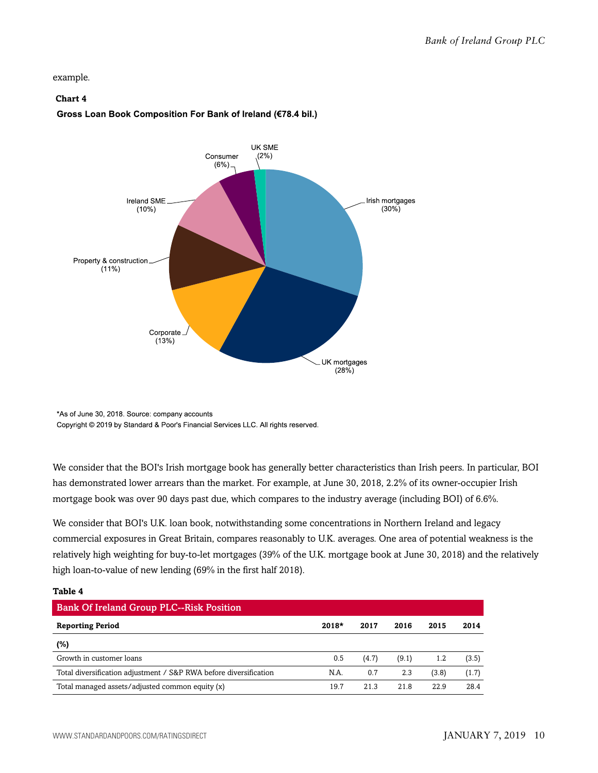example.

#### **Chart 4**

#### Gross Loan Book Composition For Bank of Ireland (€78.4 bil.)



<sup>\*</sup>As of June 30, 2018. Source: company accounts Copyright @ 2019 by Standard & Poor's Financial Services LLC. All rights reserved.

We consider that the BOI's Irish mortgage book has generally better characteristics than Irish peers. In particular, BOI has demonstrated lower arrears than the market. For example, at June 30, 2018, 2.2% of its owner-occupier Irish mortgage book was over 90 days past due, which compares to the industry average (including BOI) of 6.6%.

We consider that BOI's U.K. loan book, notwithstanding some concentrations in Northern Ireland and legacy commercial exposures in Great Britain, compares reasonably to U.K. averages. One area of potential weakness is the relatively high weighting for buy-to-let mortgages (39% of the U.K. mortgage book at June 30, 2018) and the relatively high loan-to-value of new lending (69% in the first half 2018).

#### **Table 4**

| <b>Bank Of Ireland Group PLC--Risk Position</b>                   |         |       |       |       |       |
|-------------------------------------------------------------------|---------|-------|-------|-------|-------|
| <b>Reporting Period</b>                                           | $2018*$ | 2017  | 2016  | 2015  | 2014  |
| (%)                                                               |         |       |       |       |       |
| Growth in customer loans                                          | 0.5     | (4.7) | (9.1) | 1.2   | (3.5) |
| Total diversification adjustment / S&P RWA before diversification | N.A.    | 0.7   | 2.3   | (3.8) | (1.7) |
| Total managed assets/adjusted common equity (x)                   | 19.7    | 21.3  | 21.8  | 22.9  | 28.4  |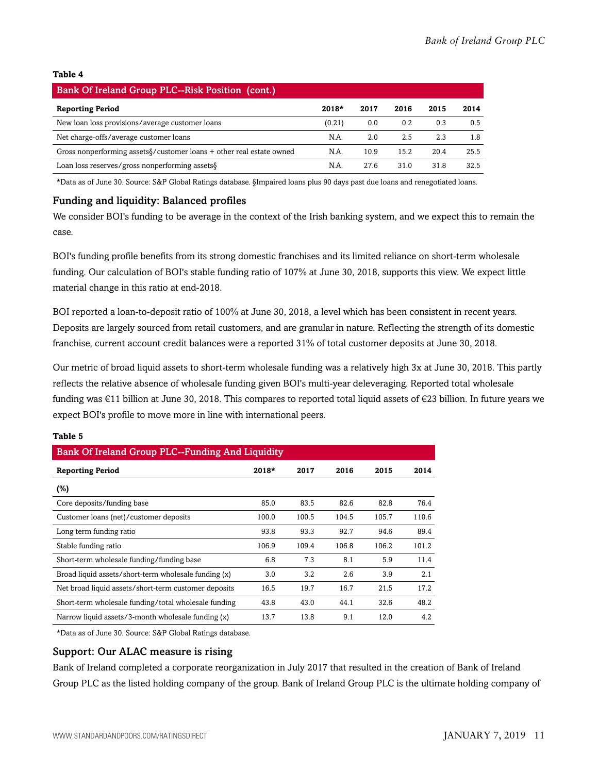#### **Table 4**

| <b>Bank Of Ireland Group PLC--Risk Position (cont.)</b>                           |         |      |      |      |      |
|-----------------------------------------------------------------------------------|---------|------|------|------|------|
| <b>Reporting Period</b>                                                           | $2018*$ | 2017 | 2016 | 2015 | 2014 |
| New loan loss provisions/average customer loans                                   | (0.21)  | 0.0  | 0.2  | 0.3  | 0.5  |
| Net charge-offs/average customer loans                                            | N.A.    | 2.0  | 2.5  | 2.3  | 1.8  |
| Gross nonperforming assets $\frac{1}{2}$ customer loans + other real estate owned | N.A.    | 10.9 | 15.2 | 20.4 | 25.5 |
| Loan loss reserves/gross nonperforming assets §                                   | N.A.    | 27.6 | 31.0 | 31.8 | 32.5 |

\*Data as of June 30. Source: S&P Global Ratings database. §Impaired loans plus 90 days past due loans and renegotiated loans.

#### Funding and liquidity: Balanced profiles

We consider BOI's funding to be average in the context of the Irish banking system, and we expect this to remain the case.

BOI's funding profile benefits from its strong domestic franchises and its limited reliance on short-term wholesale funding. Our calculation of BOI's stable funding ratio of 107% at June 30, 2018, supports this view. We expect little material change in this ratio at end-2018.

BOI reported a loan-to-deposit ratio of 100% at June 30, 2018, a level which has been consistent in recent years. Deposits are largely sourced from retail customers, and are granular in nature. Reflecting the strength of its domestic franchise, current account credit balances were a reported 31% of total customer deposits at June 30, 2018.

Our metric of broad liquid assets to short-term wholesale funding was a relatively high 3x at June 30, 2018. This partly reflects the relative absence of wholesale funding given BOI's multi-year deleveraging. Reported total wholesale funding was €11 billion at June 30, 2018. This compares to reported total liquid assets of €23 billion. In future years we expect BOI's profile to move more in line with international peers.

| <b>Bank Of Ireland Group PLC--Funding And Liquidity</b> |       |       |       |       |  |  |  |
|---------------------------------------------------------|-------|-------|-------|-------|--|--|--|
| $2018*$                                                 | 2017  | 2016  | 2015  | 2014  |  |  |  |
|                                                         |       |       |       |       |  |  |  |
| 85.0                                                    | 83.5  | 82.6  | 82.8  | 76.4  |  |  |  |
| 100.0                                                   | 100.5 | 104.5 | 105.7 | 110.6 |  |  |  |
| 93.8                                                    | 93.3  | 92.7  | 94.6  | 89.4  |  |  |  |
| 106.9                                                   | 109.4 | 106.8 | 106.2 | 101.2 |  |  |  |
| 6.8                                                     | 7.3   | 8.1   | 5.9   | 11.4  |  |  |  |
| 3.0                                                     | 3.2   | 2.6   | 3.9   | 2.1   |  |  |  |
| 16.5                                                    | 19.7  | 16.7  | 21.5  | 17.2  |  |  |  |
| 43.8                                                    | 43.0  | 44.1  | 32.6  | 48.2  |  |  |  |
| 13.7                                                    | 13.8  | 9.1   | 12.0  | 4.2   |  |  |  |
|                                                         |       |       |       |       |  |  |  |

#### **Table 5**

\*Data as of June 30. Source: S&P Global Ratings database.

#### Support: Our ALAC measure is rising

Bank of Ireland completed a corporate reorganization in July 2017 that resulted in the creation of Bank of Ireland Group PLC as the listed holding company of the group. Bank of Ireland Group PLC is the ultimate holding company of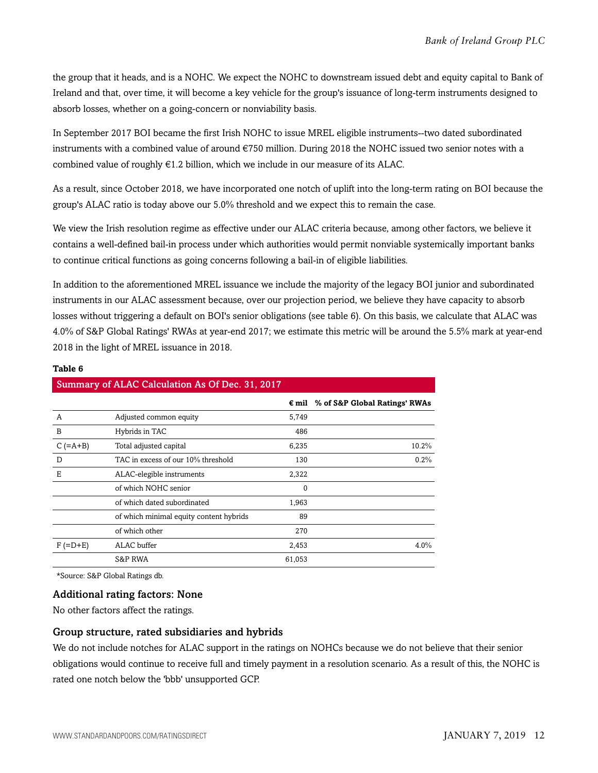the group that it heads, and is a NOHC. We expect the NOHC to downstream issued debt and equity capital to Bank of Ireland and that, over time, it will become a key vehicle for the group's issuance of long-term instruments designed to absorb losses, whether on a going-concern or nonviability basis.

In September 2017 BOI became the first Irish NOHC to issue MREL eligible instruments--two dated subordinated instruments with a combined value of around €750 million. During 2018 the NOHC issued two senior notes with a combined value of roughly  $\epsilon$ 1.2 billion, which we include in our measure of its ALAC.

As a result, since October 2018, we have incorporated one notch of uplift into the long-term rating on BOI because the group's ALAC ratio is today above our 5.0% threshold and we expect this to remain the case.

We view the Irish resolution regime as effective under our ALAC criteria because, among other factors, we believe it contains a well-defined bail-in process under which authorities would permit nonviable systemically important banks to continue critical functions as going concerns following a bail-in of eligible liabilities.

In addition to the aforementioned MREL issuance we include the majority of the legacy BOI junior and subordinated instruments in our ALAC assessment because, over our projection period, we believe they have capacity to absorb losses without triggering a default on BOI's senior obligations (see table 6). On this basis, we calculate that ALAC was 4.0% of S&P Global Ratings' RWAs at year-end 2017; we estimate this metric will be around the 5.5% mark at year-end 2018 in the light of MREL issuance in 2018.

#### **Table 6**

|            | Summary of ALAC Calculation As Of Dec. 31, 2017 |        |                                              |
|------------|-------------------------------------------------|--------|----------------------------------------------|
|            |                                                 |        | $\epsilon$ mil % of S&P Global Ratings' RWAs |
| A          | Adjusted common equity                          | 5,749  |                                              |
| B          | Hybrids in TAC                                  | 486    |                                              |
| $C$ (=A+B) | Total adjusted capital                          | 6,235  | 10.2%                                        |
| D          | TAC in excess of our 10% threshold              | 130    | $0.2\%$                                      |
| Е          | ALAC-elegible instruments                       | 2,322  |                                              |
|            | of which NOHC senior                            | 0      |                                              |
|            | of which dated subordinated                     | 1,963  |                                              |
|            | of which minimal equity content hybrids         | 89     |                                              |
|            | of which other                                  | 270    |                                              |
| $F(=D+E)$  | ALAC buffer                                     | 2,453  | $4.0\%$                                      |
|            | S&P RWA                                         | 61,053 |                                              |

\*Source: S&P Global Ratings db.

#### Additional rating factors: None

No other factors affect the ratings.

#### Group structure, rated subsidiaries and hybrids

We do not include notches for ALAC support in the ratings on NOHCs because we do not believe that their senior obligations would continue to receive full and timely payment in a resolution scenario. As a result of this, the NOHC is rated one notch below the 'bbb' unsupported GCP.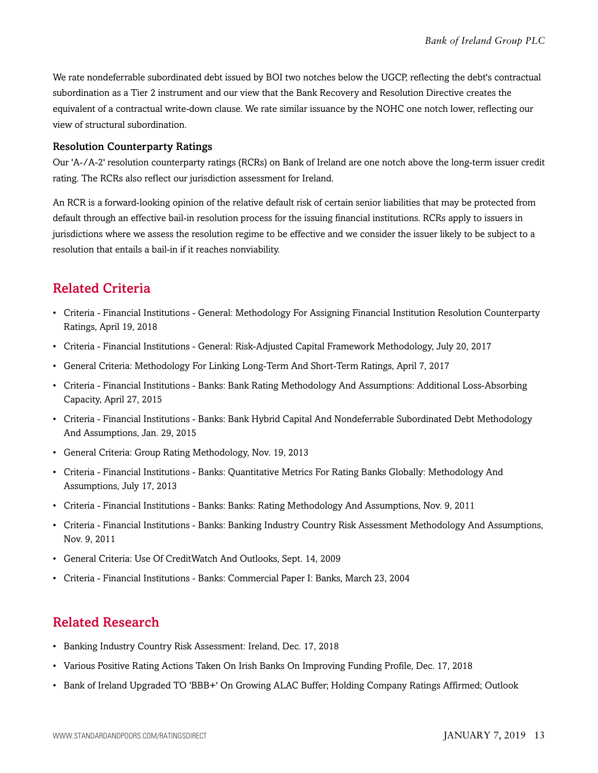We rate nondeferrable subordinated debt issued by BOI two notches below the UGCP, reflecting the debt's contractual subordination as a Tier 2 instrument and our view that the Bank Recovery and Resolution Directive creates the equivalent of a contractual write-down clause. We rate similar issuance by the NOHC one notch lower, reflecting our view of structural subordination.

#### Resolution Counterparty Ratings

Our 'A-/A-2' resolution counterparty ratings (RCRs) on Bank of Ireland are one notch above the long-term issuer credit rating. The RCRs also reflect our jurisdiction assessment for Ireland.

An RCR is a forward-looking opinion of the relative default risk of certain senior liabilities that may be protected from default through an effective bail-in resolution process for the issuing financial institutions. RCRs apply to issuers in jurisdictions where we assess the resolution regime to be effective and we consider the issuer likely to be subject to a resolution that entails a bail-in if it reaches nonviability.

### <span id="page-12-0"></span>Related Criteria

- Criteria Financial Institutions General: Methodology For Assigning Financial Institution Resolution Counterparty Ratings, April 19, 2018
- Criteria Financial Institutions General: Risk-Adjusted Capital Framework Methodology, July 20, 2017
- General Criteria: Methodology For Linking Long-Term And Short-Term Ratings, April 7, 2017
- Criteria Financial Institutions Banks: Bank Rating Methodology And Assumptions: Additional Loss-Absorbing Capacity, April 27, 2015
- Criteria Financial Institutions Banks: Bank Hybrid Capital And Nondeferrable Subordinated Debt Methodology And Assumptions, Jan. 29, 2015
- General Criteria: Group Rating Methodology, Nov. 19, 2013
- Criteria Financial Institutions Banks: Quantitative Metrics For Rating Banks Globally: Methodology And Assumptions, July 17, 2013
- Criteria Financial Institutions Banks: Banks: Rating Methodology And Assumptions, Nov. 9, 2011
- Criteria Financial Institutions Banks: Banking Industry Country Risk Assessment Methodology And Assumptions, Nov. 9, 2011
- General Criteria: Use Of CreditWatch And Outlooks, Sept. 14, 2009
- Criteria Financial Institutions Banks: Commercial Paper I: Banks, March 23, 2004

### <span id="page-12-1"></span>Related Research

- Banking Industry Country Risk Assessment: Ireland, Dec. 17, 2018
- Various Positive Rating Actions Taken On Irish Banks On Improving Funding Profile, Dec. 17, 2018
- Bank of Ireland Upgraded TO 'BBB+' On Growing ALAC Buffer; Holding Company Ratings Affirmed; Outlook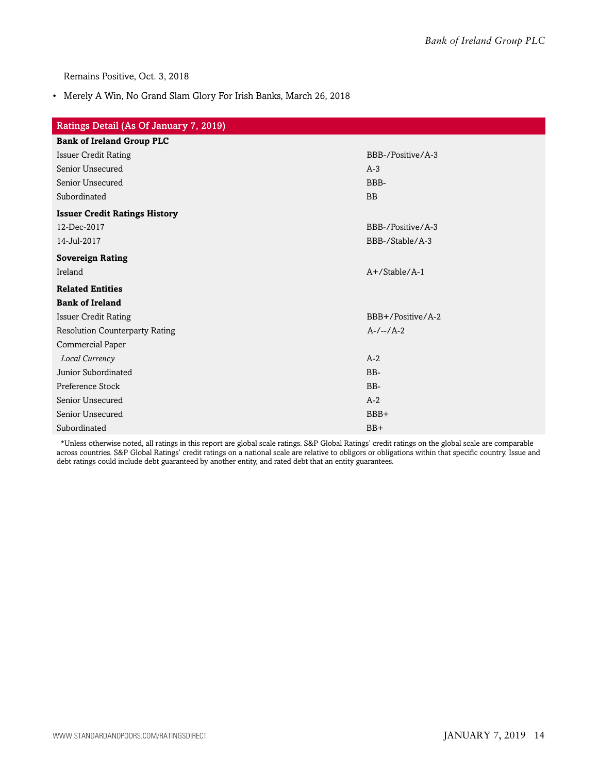Remains Positive, Oct. 3, 2018

• Merely A Win, No Grand Slam Glory For Irish Banks, March 26, 2018

| Ratings Detail (As Of January 7, 2019) |                   |
|----------------------------------------|-------------------|
| <b>Bank of Ireland Group PLC</b>       |                   |
| <b>Issuer Credit Rating</b>            | BBB-/Positive/A-3 |
| Senior Unsecured                       | $A-3$             |
| Senior Unsecured                       | BBB-              |
| Subordinated                           | <b>BB</b>         |
| <b>Issuer Credit Ratings History</b>   |                   |
| 12-Dec-2017                            | BBB-/Positive/A-3 |
| 14-Jul-2017                            | BBB-/Stable/A-3   |
| <b>Sovereign Rating</b>                |                   |
| Ireland                                | $A+$ /Stable/A-1  |
| <b>Related Entities</b>                |                   |
| <b>Bank of Ireland</b>                 |                   |
| <b>Issuer Credit Rating</b>            | BBB+/Positive/A-2 |
| <b>Resolution Counterparty Rating</b>  | $A-/-/A-2$        |
| Commercial Paper                       |                   |
| Local Currency                         | $A-2$             |
| Junior Subordinated                    | BB-               |
| Preference Stock                       | BB-               |
| Senior Unsecured                       | $A-2$             |
| Senior Unsecured                       | BBB+              |
| Subordinated                           | $BB+$             |

\*Unless otherwise noted, all ratings in this report are global scale ratings. S&P Global Ratings' credit ratings on the global scale are comparable across countries. S&P Global Ratings' credit ratings on a national scale are relative to obligors or obligations within that specific country. Issue and debt ratings could include debt guaranteed by another entity, and rated debt that an entity guarantees.